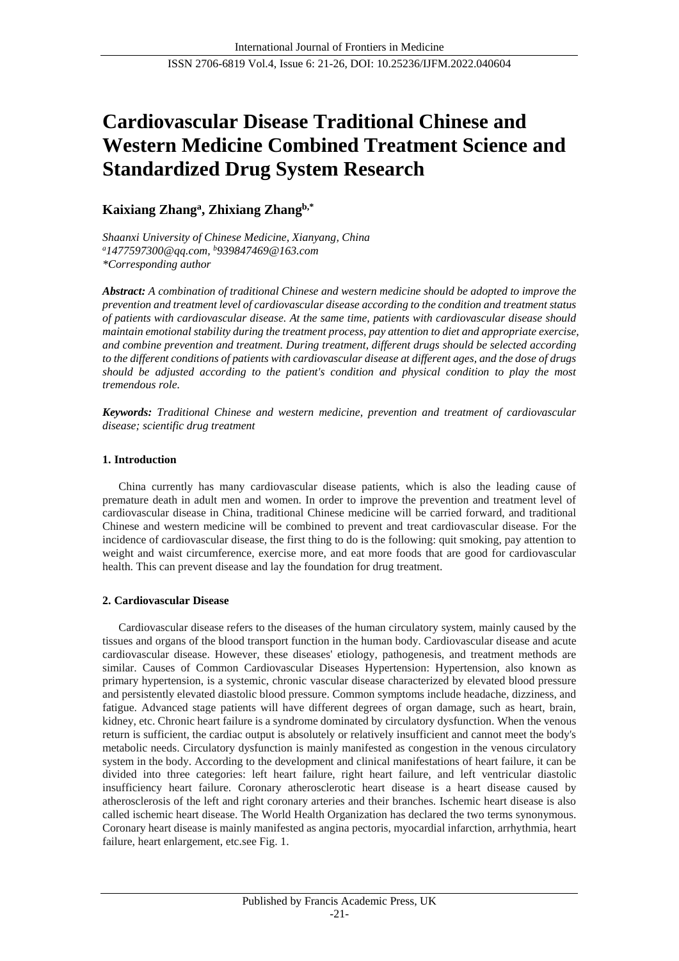# **Cardiovascular Disease Traditional Chinese and Western Medicine Combined Treatment Science and Standardized Drug System Research**

## **Kaixiang Zhang<sup>a</sup> , Zhixiang Zhangb,\***

*Shaanxi University of Chinese Medicine, Xianyang, China <sup>a</sup>1477597300@qq.com, <sup>b</sup>939847469@163.com \*Corresponding author*

*Abstract: A combination of traditional Chinese and western medicine should be adopted to improve the prevention and treatment level of cardiovascular disease according to the condition and treatment status of patients with cardiovascular disease. At the same time, patients with cardiovascular disease should maintain emotional stability during the treatment process, pay attention to diet and appropriate exercise, and combine prevention and treatment. During treatment, different drugs should be selected according to the different conditions of patients with cardiovascular disease at different ages, and the dose of drugs should be adjusted according to the patient's condition and physical condition to play the most tremendous role.*

*Keywords: Traditional Chinese and western medicine, prevention and treatment of cardiovascular disease; scientific drug treatment*

## **1. Introduction**

China currently has many cardiovascular disease patients, which is also the leading cause of premature death in adult men and women. In order to improve the prevention and treatment level of cardiovascular disease in China, traditional Chinese medicine will be carried forward, and traditional Chinese and western medicine will be combined to prevent and treat cardiovascular disease. For the incidence of cardiovascular disease, the first thing to do is the following: quit smoking, pay attention to weight and waist circumference, exercise more, and eat more foods that are good for cardiovascular health. This can prevent disease and lay the foundation for drug treatment.

## **2. Cardiovascular Disease**

Cardiovascular disease refers to the diseases of the human circulatory system, mainly caused by the tissues and organs of the blood transport function in the human body. Cardiovascular disease and acute cardiovascular disease. However, these diseases' etiology, pathogenesis, and treatment methods are similar. Causes of Common Cardiovascular Diseases Hypertension: Hypertension, also known as primary hypertension, is a systemic, chronic vascular disease characterized by elevated blood pressure and persistently elevated diastolic blood pressure. Common symptoms include headache, dizziness, and fatigue. Advanced stage patients will have different degrees of organ damage, such as heart, brain, kidney, etc. Chronic heart failure is a syndrome dominated by circulatory dysfunction. When the venous return is sufficient, the cardiac output is absolutely or relatively insufficient and cannot meet the body's metabolic needs. Circulatory dysfunction is mainly manifested as congestion in the venous circulatory system in the body. According to the development and clinical manifestations of heart failure, it can be divided into three categories: left heart failure, right heart failure, and left ventricular diastolic insufficiency heart failure. Coronary atherosclerotic heart disease is a heart disease caused by atherosclerosis of the left and right coronary arteries and their branches. Ischemic heart disease is also called ischemic heart disease. The World Health Organization has declared the two terms synonymous. Coronary heart disease is mainly manifested as angina pectoris, myocardial infarction, arrhythmia, heart failure, heart enlargement, etc.se[e Fig. 1.](#page-3-0)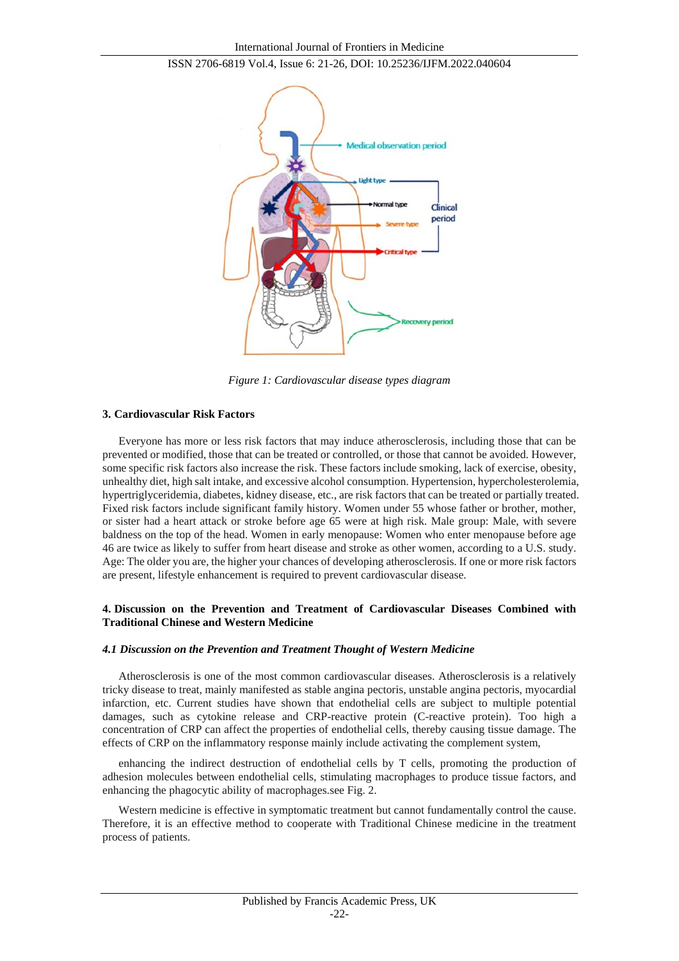

*Figure 1: Cardiovascular disease types diagram*

#### **3. Cardiovascular Risk Factors**

Everyone has more or less risk factors that may induce atherosclerosis, including those that can be prevented or modified, those that can be treated or controlled, or those that cannot be avoided. However, some specific risk factors also increase the risk. These factors include smoking, lack of exercise, obesity, unhealthy diet, high salt intake, and excessive alcohol consumption. Hypertension, hypercholesterolemia, hypertriglyceridemia, diabetes, kidney disease, etc., are risk factors that can be treated or partially treated. Fixed risk factors include significant family history. Women under 55 whose father or brother, mother, or sister had a heart attack or stroke before age 65 were at high risk. Male group: Male, with severe baldness on the top of the head. Women in early menopause: Women who enter menopause before age 46 are twice as likely to suffer from heart disease and stroke as other women, according to a U.S. study. Age: The older you are, the higher your chances of developing atherosclerosis. If one or more risk factors are present, lifestyle enhancement is required to prevent cardiovascular disease.

## **4. Discussion on the Prevention and Treatment of Cardiovascular Diseases Combined with Traditional Chinese and Western Medicine**

#### *4.1 Discussion on the Prevention and Treatment Thought of Western Medicine*

Atherosclerosis is one of the most common cardiovascular diseases. Atherosclerosis is a relatively tricky disease to treat, mainly manifested as stable angina pectoris, unstable angina pectoris, myocardial infarction, etc. Current studies have shown that endothelial cells are subject to multiple potential damages, such as cytokine release and CRP-reactive protein (C-reactive protein). Too high a concentration of CRP can affect the properties of endothelial cells, thereby causing tissue damage. The effects of CRP on the inflammatory response mainly include activating the complement system,

enhancing the indirect destruction of endothelial cells by T cells, promoting the production of adhesion molecules between endothelial cells, stimulating macrophages to produce tissue factors, and enhancing the phagocytic ability of macrophages.se[e Fig. 2.](#page-3-0)

Western medicine is effective in symptomatic treatment but cannot fundamentally control the cause. Therefore, it is an effective method to cooperate with Traditional Chinese medicine in the treatment process of patients.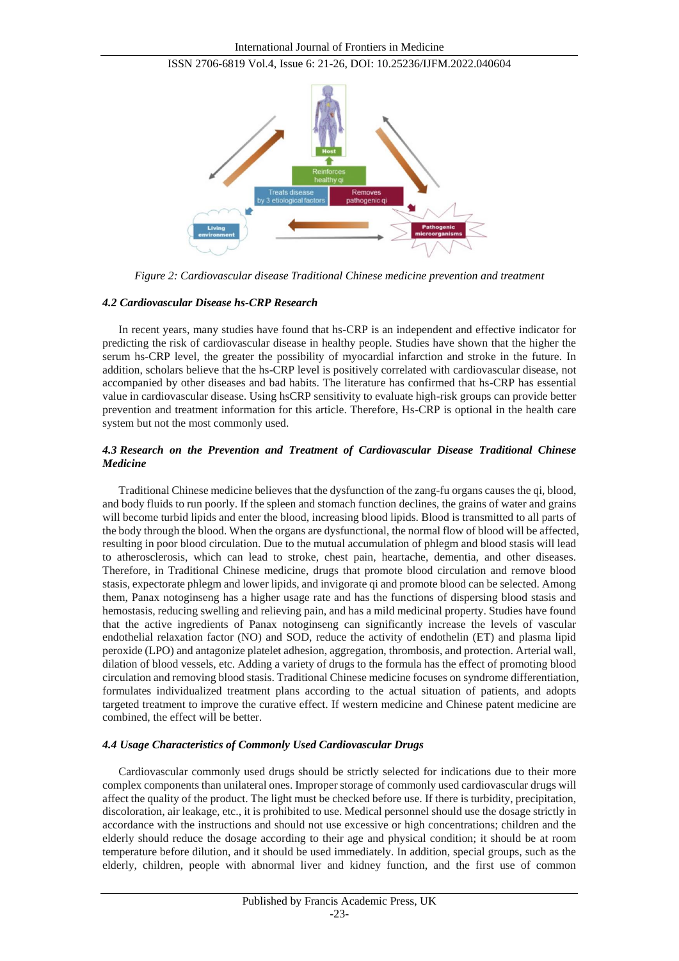

*Figure 2: Cardiovascular disease Traditional Chinese medicine prevention and treatment*

#### *4.2 Cardiovascular Disease hs-CRP Research*

In recent years, many studies have found that hs-CRP is an independent and effective indicator for predicting the risk of cardiovascular disease in healthy people. Studies have shown that the higher the serum hs-CRP level, the greater the possibility of myocardial infarction and stroke in the future. In addition, scholars believe that the hs-CRP level is positively correlated with cardiovascular disease, not accompanied by other diseases and bad habits. The literature has confirmed that hs-CRP has essential value in cardiovascular disease. Using hsCRP sensitivity to evaluate high-risk groups can provide better prevention and treatment information for this article. Therefore, Hs-CRP is optional in the health care system but not the most commonly used.

## *4.3 Research on the Prevention and Treatment of Cardiovascular Disease Traditional Chinese Medicine*

Traditional Chinese medicine believes that the dysfunction of the zang-fu organs causes the qi, blood, and body fluids to run poorly. If the spleen and stomach function declines, the grains of water and grains will become turbid lipids and enter the blood, increasing blood lipids. Blood is transmitted to all parts of the body through the blood. When the organs are dysfunctional, the normal flow of blood will be affected, resulting in poor blood circulation. Due to the mutual accumulation of phlegm and blood stasis will lead to atherosclerosis, which can lead to stroke, chest pain, heartache, dementia, and other diseases. Therefore, in Traditional Chinese medicine, drugs that promote blood circulation and remove blood stasis, expectorate phlegm and lower lipids, and invigorate qi and promote blood can be selected. Among them, Panax notoginseng has a higher usage rate and has the functions of dispersing blood stasis and hemostasis, reducing swelling and relieving pain, and has a mild medicinal property. Studies have found that the active ingredients of Panax notoginseng can significantly increase the levels of vascular endothelial relaxation factor (NO) and SOD, reduce the activity of endothelin (ET) and plasma lipid peroxide (LPO) and antagonize platelet adhesion, aggregation, thrombosis, and protection. Arterial wall, dilation of blood vessels, etc. Adding a variety of drugs to the formula has the effect of promoting blood circulation and removing blood stasis. Traditional Chinese medicine focuses on syndrome differentiation, formulates individualized treatment plans according to the actual situation of patients, and adopts targeted treatment to improve the curative effect. If western medicine and Chinese patent medicine are combined, the effect will be better.

#### *4.4 Usage Characteristics of Commonly Used Cardiovascular Drugs*

Cardiovascular commonly used drugs should be strictly selected for indications due to their more complex components than unilateral ones. Improper storage of commonly used cardiovascular drugs will affect the quality of the product. The light must be checked before use. If there is turbidity, precipitation, discoloration, air leakage, etc., it is prohibited to use. Medical personnel should use the dosage strictly in accordance with the instructions and should not use excessive or high concentrations; children and the elderly should reduce the dosage according to their age and physical condition; it should be at room temperature before dilution, and it should be used immediately. In addition, special groups, such as the elderly, children, people with abnormal liver and kidney function, and the first use of common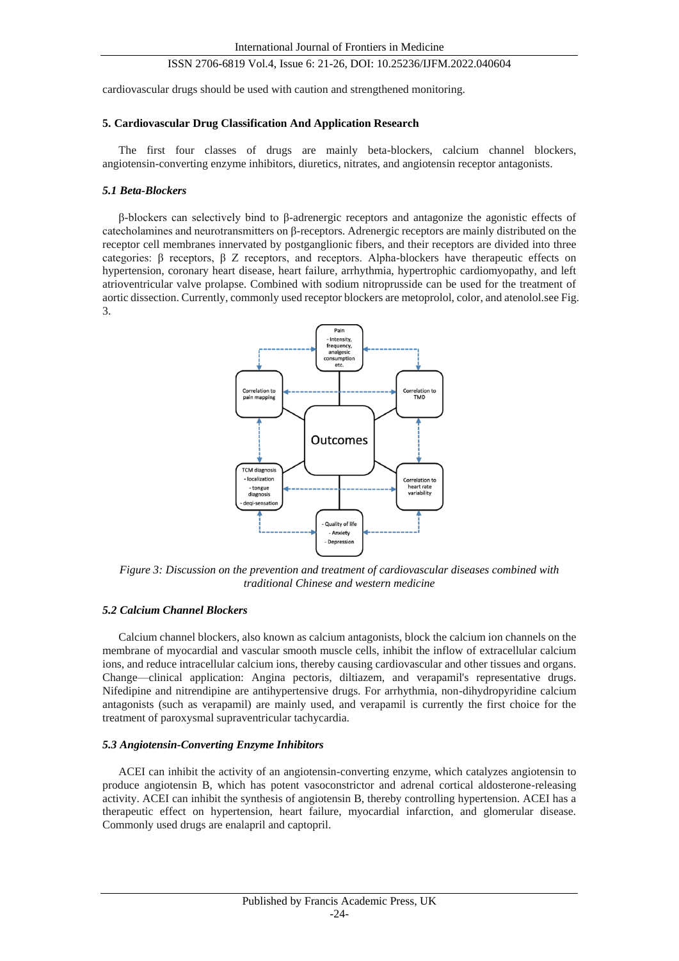cardiovascular drugs should be used with caution and strengthened monitoring.

#### **5. Cardiovascular Drug Classification And Application Research**

The first four classes of drugs are mainly beta-blockers, calcium channel blockers, angiotensin-converting enzyme inhibitors, diuretics, nitrates, and angiotensin receptor antagonists.

#### *5.1 Beta-Blockers*

β-blockers can selectively bind to β-adrenergic receptors and antagonize the agonistic effects of catecholamines and neurotransmitters on β-receptors. Adrenergic receptors are mainly distributed on the receptor cell membranes innervated by postganglionic fibers, and their receptors are divided into three categories: β receptors, β Z receptors, and receptors. Alpha-blockers have therapeutic effects on hypertension, coronary heart disease, heart failure, arrhythmia, hypertrophic cardiomyopathy, and left atrioventricular valve prolapse. Combined with sodium nitroprusside can be used for the treatment of aortic dissection. Currently, commonly used receptor blockers are metoprolol, color, and atenolol.se[e Fig.](#page-3-0)  [3.](#page-3-0)



<span id="page-3-0"></span>*Figure 3: Discussion on the prevention and treatment of cardiovascular diseases combined with traditional Chinese and western medicine*

#### *5.2 Calcium Channel Blockers*

Calcium channel blockers, also known as calcium antagonists, block the calcium ion channels on the membrane of myocardial and vascular smooth muscle cells, inhibit the inflow of extracellular calcium ions, and reduce intracellular calcium ions, thereby causing cardiovascular and other tissues and organs. Change—clinical application: Angina pectoris, diltiazem, and verapamil's representative drugs. Nifedipine and nitrendipine are antihypertensive drugs. For arrhythmia, non-dihydropyridine calcium antagonists (such as verapamil) are mainly used, and verapamil is currently the first choice for the treatment of paroxysmal supraventricular tachycardia.

#### *5.3 Angiotensin-Converting Enzyme Inhibitors*

ACEI can inhibit the activity of an angiotensin-converting enzyme, which catalyzes angiotensin to produce angiotensin B, which has potent vasoconstrictor and adrenal cortical aldosterone-releasing activity. ACEI can inhibit the synthesis of angiotensin B, thereby controlling hypertension. ACEI has a therapeutic effect on hypertension, heart failure, myocardial infarction, and glomerular disease. Commonly used drugs are enalapril and captopril.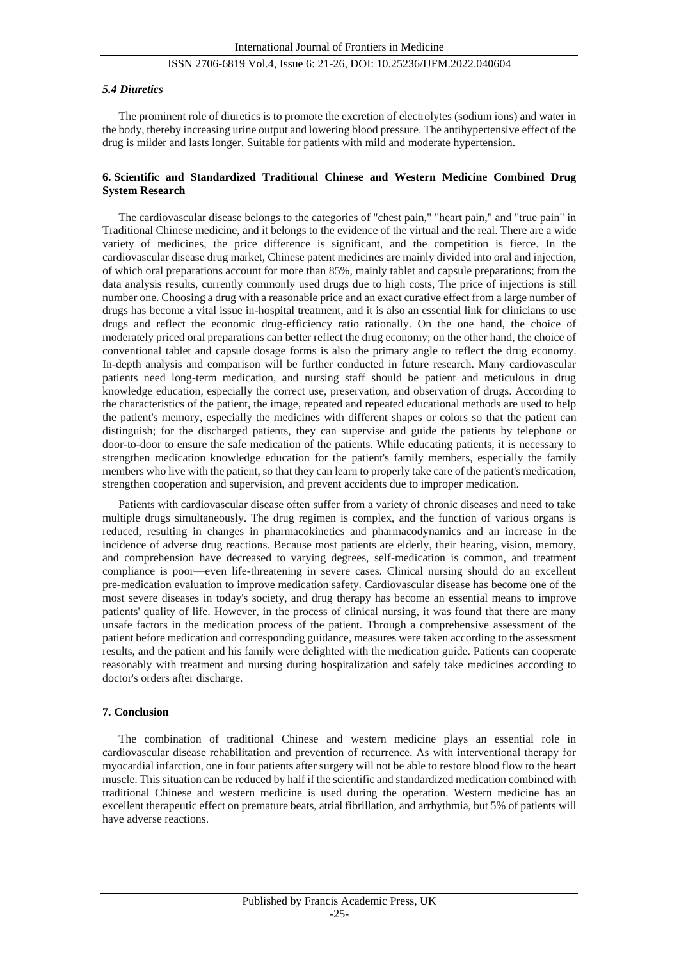#### *5.4 Diuretics*

The prominent role of diuretics is to promote the excretion of electrolytes (sodium ions) and water in the body, thereby increasing urine output and lowering blood pressure. The antihypertensive effect of the drug is milder and lasts longer. Suitable for patients with mild and moderate hypertension.

#### **6. Scientific and Standardized Traditional Chinese and Western Medicine Combined Drug System Research**

The cardiovascular disease belongs to the categories of "chest pain," "heart pain," and "true pain" in Traditional Chinese medicine, and it belongs to the evidence of the virtual and the real. There are a wide variety of medicines, the price difference is significant, and the competition is fierce. In the cardiovascular disease drug market, Chinese patent medicines are mainly divided into oral and injection, of which oral preparations account for more than 85%, mainly tablet and capsule preparations; from the data analysis results, currently commonly used drugs due to high costs, The price of injections is still number one. Choosing a drug with a reasonable price and an exact curative effect from a large number of drugs has become a vital issue in-hospital treatment, and it is also an essential link for clinicians to use drugs and reflect the economic drug-efficiency ratio rationally. On the one hand, the choice of moderately priced oral preparations can better reflect the drug economy; on the other hand, the choice of conventional tablet and capsule dosage forms is also the primary angle to reflect the drug economy. In-depth analysis and comparison will be further conducted in future research. Many cardiovascular patients need long-term medication, and nursing staff should be patient and meticulous in drug knowledge education, especially the correct use, preservation, and observation of drugs. According to the characteristics of the patient, the image, repeated and repeated educational methods are used to help the patient's memory, especially the medicines with different shapes or colors so that the patient can distinguish; for the discharged patients, they can supervise and guide the patients by telephone or door-to-door to ensure the safe medication of the patients. While educating patients, it is necessary to strengthen medication knowledge education for the patient's family members, especially the family members who live with the patient, so that they can learn to properly take care of the patient's medication, strengthen cooperation and supervision, and prevent accidents due to improper medication.

Patients with cardiovascular disease often suffer from a variety of chronic diseases and need to take multiple drugs simultaneously. The drug regimen is complex, and the function of various organs is reduced, resulting in changes in pharmacokinetics and pharmacodynamics and an increase in the incidence of adverse drug reactions. Because most patients are elderly, their hearing, vision, memory, and comprehension have decreased to varying degrees, self-medication is common, and treatment compliance is poor—even life-threatening in severe cases. Clinical nursing should do an excellent pre-medication evaluation to improve medication safety. Cardiovascular disease has become one of the most severe diseases in today's society, and drug therapy has become an essential means to improve patients' quality of life. However, in the process of clinical nursing, it was found that there are many unsafe factors in the medication process of the patient. Through a comprehensive assessment of the patient before medication and corresponding guidance, measures were taken according to the assessment results, and the patient and his family were delighted with the medication guide. Patients can cooperate reasonably with treatment and nursing during hospitalization and safely take medicines according to doctor's orders after discharge.

#### **7. Conclusion**

The combination of traditional Chinese and western medicine plays an essential role in cardiovascular disease rehabilitation and prevention of recurrence. As with interventional therapy for myocardial infarction, one in four patients after surgery will not be able to restore blood flow to the heart muscle. This situation can be reduced by half if the scientific and standardized medication combined with traditional Chinese and western medicine is used during the operation. Western medicine has an excellent therapeutic effect on premature beats, atrial fibrillation, and arrhythmia, but 5% of patients will have adverse reactions.